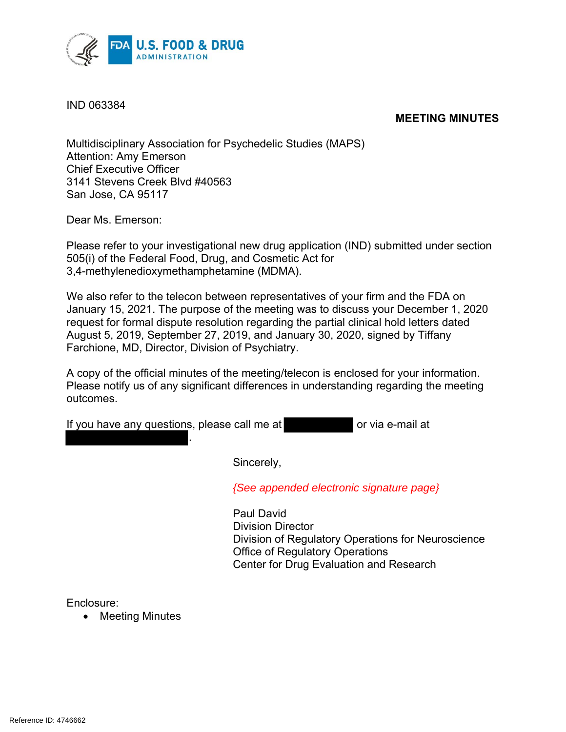

IND 063384

#### **MEETING MINUTES**

Multidisciplinary Association for Psychedelic Studies (MAPS) Attention: Amy Emerson Chief Executive Officer 3141 Stevens Creek Blvd #40563 San Jose, CA 95117

Dear Ms. Emerson:

Please refer to your investigational new drug application (IND) submitted under section 505(i) of the Federal Food, Drug, and Cosmetic Act for 3,4-methylenedioxymethamphetamine (MDMA).

We also refer to the telecon between representatives of your firm and the FDA on January 15, 2021. The purpose of the meeting was to discuss your December 1, 2020 request for formal dispute resolution regarding the partial clinical hold letters dated August 5, 2019, September 27, 2019, and January 30, 2020, signed by Tiffany Farchione, MD, Director, Division of Psychiatry.

A copy of the official minutes of the meeting/telecon is enclosed for your information. Please notify us of any significant differences in understanding regarding the meeting outcomes.

|  |  |  | If you have any questions, please call me at |  | or via e-mail at |
|--|--|--|----------------------------------------------|--|------------------|
|--|--|--|----------------------------------------------|--|------------------|

.

Sincerely,

*{See appended electronic signature page}*

Paul David Division Director Division of Regulatory Operations for Neuroscience Office of Regulatory Operations Center for Drug Evaluation and Research

Enclosure:

• Meeting Minutes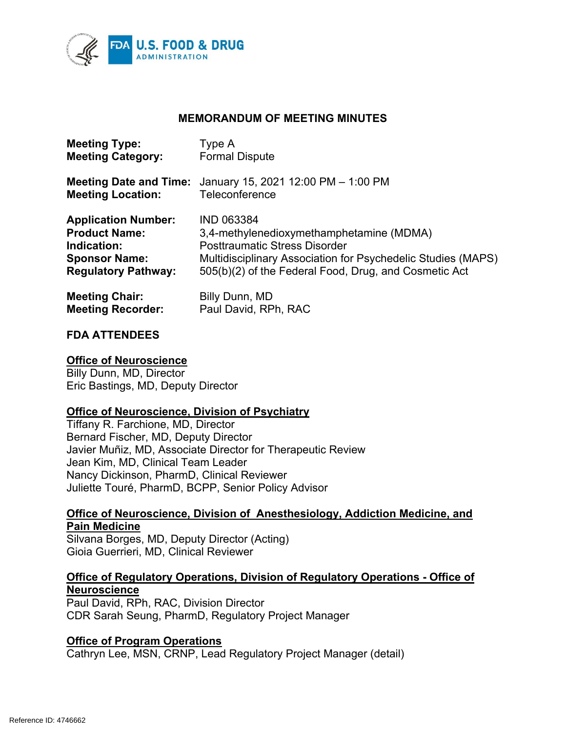

#### **MEMORANDUM OF MEETING MINUTES**

| <b>Meeting Type:</b>          | Type A                                                       |
|-------------------------------|--------------------------------------------------------------|
| <b>Meeting Category:</b>      | <b>Formal Dispute</b>                                        |
| <b>Meeting Date and Time:</b> | January 15, 2021 12:00 PM - 1:00 PM                          |
| <b>Meeting Location:</b>      | Teleconference                                               |
| <b>Application Number:</b>    | <b>IND 063384</b>                                            |
| <b>Product Name:</b>          | 3,4-methylenedioxymethamphetamine (MDMA)                     |
| Indication:                   | <b>Posttraumatic Stress Disorder</b>                         |
| <b>Sponsor Name:</b>          | Multidisciplinary Association for Psychedelic Studies (MAPS) |
| <b>Regulatory Pathway:</b>    | 505(b)(2) of the Federal Food, Drug, and Cosmetic Act        |
| <b>Meeting Chair:</b>         | Billy Dunn, MD                                               |
| <b>Meeting Recorder:</b>      | Paul David, RPh, RAC                                         |

#### **FDA ATTENDEES**

#### **Office of Neuroscience**

Billy Dunn, MD, Director Eric Bastings, MD, Deputy Director

#### **Office of Neuroscience, Division of Psychiatry**

Tiffany R. Farchione, MD, Director Bernard Fischer, MD, Deputy Director Javier Muñiz, MD, Associate Director for Therapeutic Review Jean Kim, MD, Clinical Team Leader Nancy Dickinson, PharmD, Clinical Reviewer Juliette Touré, PharmD, BCPP, Senior Policy Advisor

#### **Office of Neuroscience, Division of Anesthesiology, Addiction Medicine, and Pain Medicine**

Silvana Borges, MD, Deputy Director (Acting) Gioia Guerrieri, MD, Clinical Reviewer

#### **Office of Regulatory Operations, Division of Regulatory Operations - Office of Neuroscience**

Paul David, RPh, RAC, Division Director CDR Sarah Seung, PharmD, Regulatory Project Manager

#### **Office of Program Operations**

Cathryn Lee, MSN, CRNP, Lead Regulatory Project Manager (detail)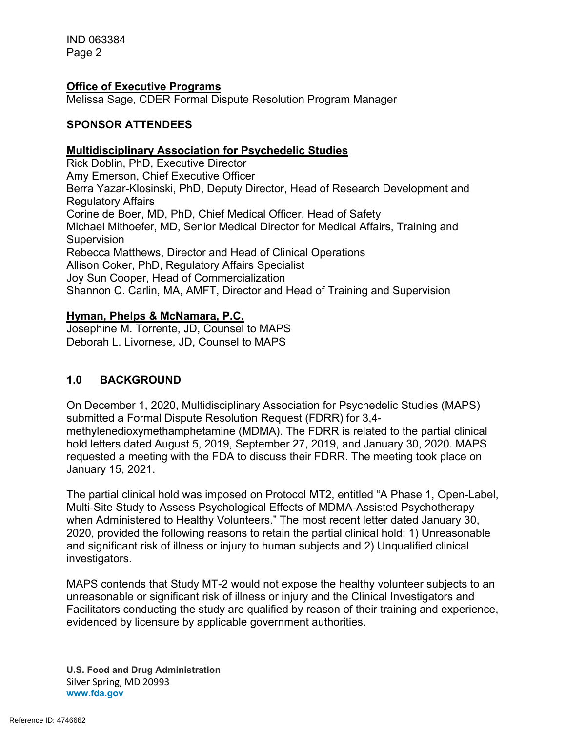IND 063384 Page 2

#### **Office of Executive Programs**

Melissa Sage, CDER Formal Dispute Resolution Program Manager

#### **SPONSOR ATTENDEES**

#### **Multidisciplinary Association for Psychedelic Studies**

Rick Doblin, PhD, Executive Director Amy Emerson, Chief Executive Officer Berra Yazar-Klosinski, PhD, Deputy Director, Head of Research Development and Regulatory Affairs Corine de Boer, MD, PhD, Chief Medical Officer, Head of Safety Michael Mithoefer, MD, Senior Medical Director for Medical Affairs, Training and **Supervision** Rebecca Matthews, Director and Head of Clinical Operations Allison Coker, PhD, Regulatory Affairs Specialist Joy Sun Cooper, Head of Commercialization Shannon C. Carlin, MA, AMFT, Director and Head of Training and Supervision

#### **Hyman, Phelps & McNamara, P.C.**

Josephine M. Torrente, JD, Counsel to MAPS Deborah L. Livornese, JD, Counsel to MAPS

#### **1.0 BACKGROUND**

On December 1, 2020, Multidisciplinary Association for Psychedelic Studies (MAPS) submitted a Formal Dispute Resolution Request (FDRR) for 3,4 methylenedioxymethamphetamine (MDMA). The FDRR is related to the partial clinical hold letters dated August 5, 2019, September 27, 2019, and January 30, 2020. MAPS requested a meeting with the FDA to discuss their FDRR. The meeting took place on January 15, 2021.

The partial clinical hold was imposed on Protocol MT2, entitled "A Phase 1, Open-Label, Multi-Site Study to Assess Psychological Effects of MDMA-Assisted Psychotherapy when Administered to Healthy Volunteers." The most recent letter dated January 30, 2020, provided the following reasons to retain the partial clinical hold: 1) Unreasonable and significant risk of illness or injury to human subjects and 2) Unqualified clinical investigators.

MAPS contends that Study MT-2 would not expose the healthy volunteer subjects to an unreasonable or significant risk of illness or injury and the Clinical Investigators and Facilitators conducting the study are qualified by reason of their training and experience, evidenced by licensure by applicable government authorities.

**U.S. Food and Drug Administration** Silver Spring, MD 20993 **www.fda.gov**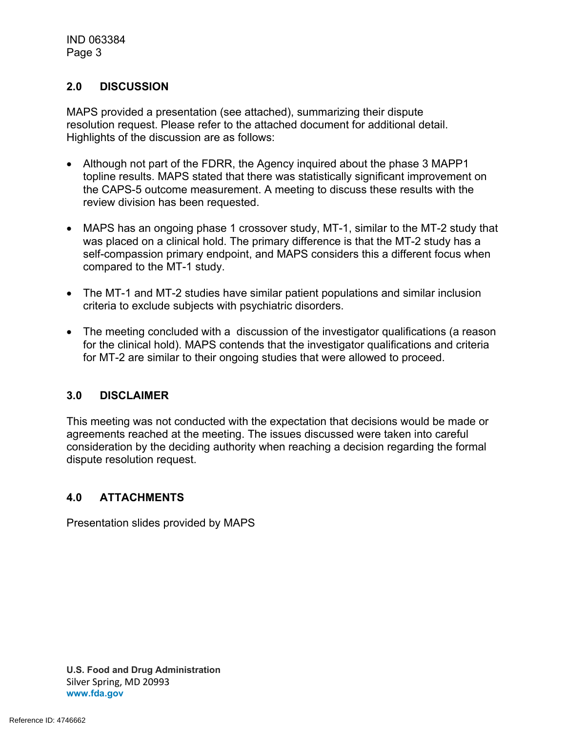#### **2.0 DISCUSSION**

MAPS provided a presentation (see attached), summarizing their dispute resolution request. Please refer to the attached document for additional detail. Highlights of the discussion are as follows:

- Although not part of the FDRR, the Agency inquired about the phase 3 MAPP1 topline results. MAPS stated that there was statistically significant improvement on the CAPS-5 outcome measurement. A meeting to discuss these results with the review division has been requested.
- MAPS has an ongoing phase 1 crossover study, MT-1, similar to the MT-2 study that was placed on a clinical hold. The primary difference is that the MT-2 study has a self-compassion primary endpoint, and MAPS considers this a different focus when compared to the MT-1 study.
- The MT-1 and MT-2 studies have similar patient populations and similar inclusion criteria to exclude subjects with psychiatric disorders.
- The meeting concluded with a discussion of the investigator qualifications (a reason for the clinical hold). MAPS contends that the investigator qualifications and criteria for MT-2 are similar to their ongoing studies that were allowed to proceed.

#### **3.0 DISCLAIMER**

This meeting was not conducted with the expectation that decisions would be made or agreements reached at the meeting. The issues discussed were taken into careful consideration by the deciding authority when reaching a decision regarding the formal dispute resolution request.

#### **4.0 ATTACHMENTS**

Presentation slides provided by MAPS

**U.S. Food and Drug Administration** Silver Spring, MD 20993 **www.fda.gov**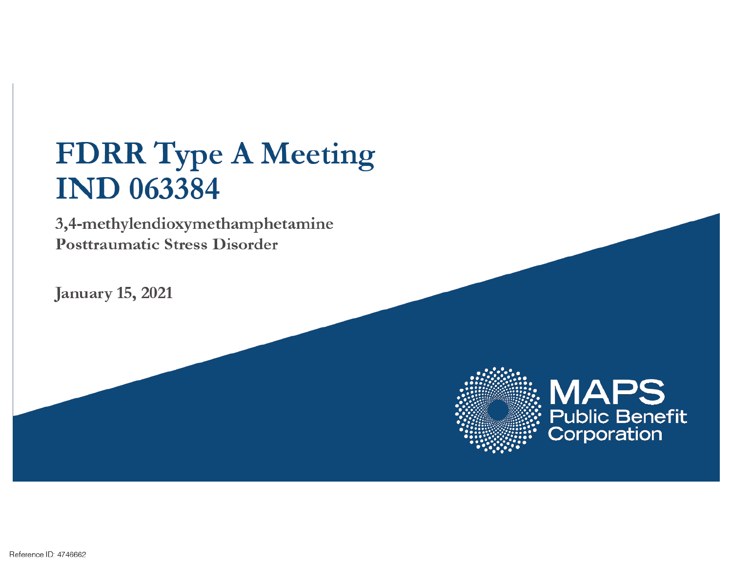## **FDRR Type A Meeting IND 063384**

3,4-methylendioxymethamphetamine **Posttraumatic Stress Disorder** 

**January 15, 2021** 



# **MAPS**<br>Public Benefit<br>Corporation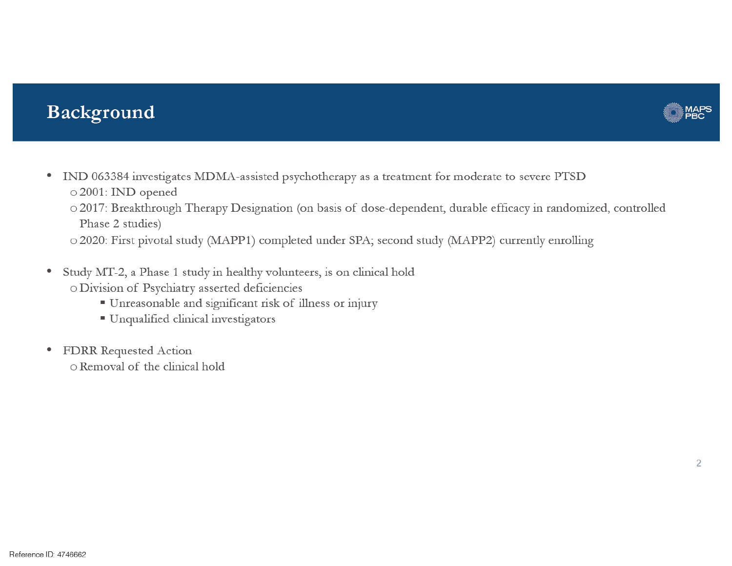### Background



- IND 063384 investigates MDMA-assisted psychotherapy as a treatment for moderate to severe PTSD o 2001: IND opened
	- o 2017: Breakthrough Therapy Designation (on basis of dose-dependent, durable efficacy in randomized, controlled Phase 2 studies)

o 2020: First pivotal study (MAPP1) completed under SPA; second study (MAPP2) currently enrolling

- Study MT-2, a Phase 1 study in healthy volunteers, is on clinical hold ٠ o Division of Psychiatry asserted deficiencies
	- Unreasonable and significant risk of illness or injury
	- Unqualified clinical investigators
- FDRR Requested Action ٠ o Removal of the clinical hold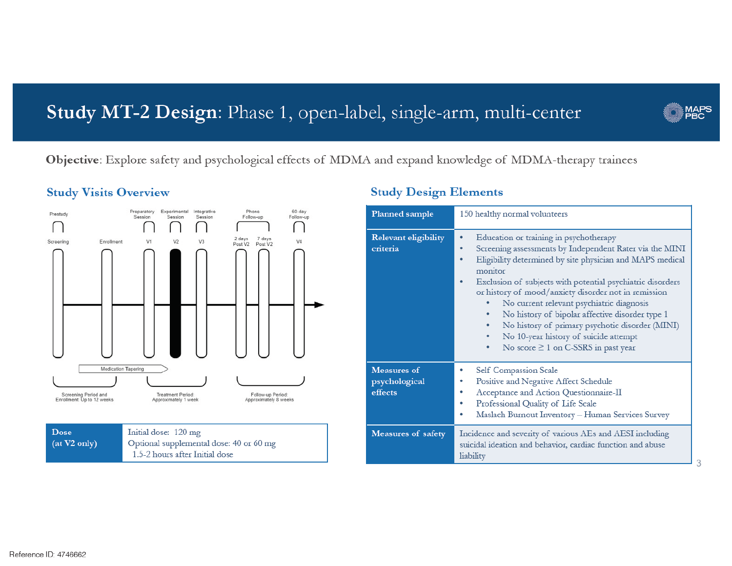## Study MT-2 Design: Phase 1, open-label, single-arm, multi-center



3

Objective: Explore safety and psychological effects of MDMA and expand knowledge of MDMA-therapy trainees

#### **Study Visits Overview**



#### **Study Design Elements**

| Planned sample                          | 150 healthy normal volunteers                                                                                                                                                                                                                                                                                                                                                                                                                                                                                                                |  |
|-----------------------------------------|----------------------------------------------------------------------------------------------------------------------------------------------------------------------------------------------------------------------------------------------------------------------------------------------------------------------------------------------------------------------------------------------------------------------------------------------------------------------------------------------------------------------------------------------|--|
| Relevant eligibility<br>criteria        | Education or training in psychotherapy<br>٠<br>Screening assessments by Independent Rater via the MINI<br>Eligibility determined by site physician and MAPS medical<br>monitor<br>Exclusion of subjects with potential psychiatric disorders<br>or history of mood/anxiety disorder not in remission<br>No current relevant psychiatric diagnosis<br>No history of bipolar affective disorder type 1<br>No history of primary psychotic disorder (MINI)<br>No 10-year history of suicide attempt<br>No score $\geq 1$ on C-SSRS in past year |  |
| Measures of<br>psychological<br>effects | Self Compassion Scale<br>Positive and Negative Affect Schedule<br>Acceptance and Action Questionnaire-II<br>Professional Quality of Life Scale<br>Maslach Burnout Inventory - Human Services Survey                                                                                                                                                                                                                                                                                                                                          |  |
| Measures of safety                      | Incidence and severity of various AEs and AESI including<br>suicidal ideation and behavior, cardiac function and abuse<br>liability                                                                                                                                                                                                                                                                                                                                                                                                          |  |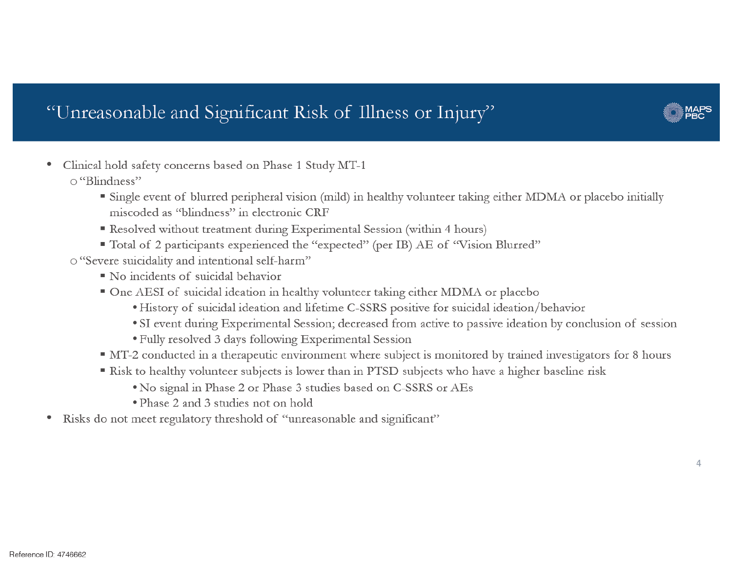## "Unreasonable and Significant Risk of Illness or Injury"



- Clinical hold safety concerns based on Phase 1 Study MT-1 ٠ o "Blindness"
	- Single event of blurred peripheral vision (mild) in healthy volunteer taking either MDMA or placebo initially miscoded as "blindness" in electronic CRF
	- Resolved without treatment during Experimental Session (within 4 hours)
	- " Total of 2 participants experienced the "expected" (per IB) AE of "Vision Blurred"
	- o "Severe suicidality and intentional self-harm"
		- No incidents of suicidal behavior
		- One AESI of suicidal ideation in healthy volunteer taking either MDMA or placebo
			- History of suicidal ideation and lifetime C-SSRS positive for suicidal ideation/behavior
			- SI event during Experimental Session; decreased from active to passive ideation by conclusion of session
			- Fully resolved 3 days following Experimental Session
		- MT-2 conducted in a therapeutic environment where subject is monitored by trained investigators for 8 hours
		- Risk to healthy volunteer subjects is lower than in PTSD subjects who have a higher baseline risk
			- . No signal in Phase 2 or Phase 3 studies based on C-SSRS or AEs
			- Phase 2 and 3 studies not on hold
- Risks do not meet regulatory threshold of "unreasonable and significant" ٠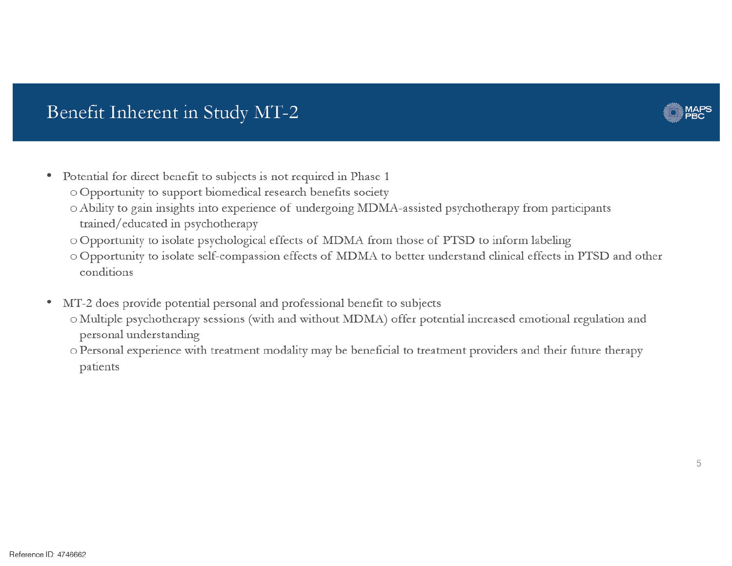## Benefit Inherent in Study MT-2

- Potential for direct benefit to subjects is not required in Phase 1
	- o Opportunity to support biomedical research benefits society
	- o Ability to gain insights into experience of undergoing MDMA-assisted psychotherapy from participants trained/educated in psychotherapy
	- o Opportunity to isolate psychological effects of MDMA from those of PTSD to inform labeling
	- o Opportunity to isolate self-compassion effects of MDMA to better understand clinical effects in PTSD and other conditions
- MT-2 does provide potential personal and professional benefit to subjects
	- o Multiple psychotherapy sessions (with and without MDMA) offer potential increased emotional regulation and personal understanding
	- o Personal experience with treatment modality may be beneficial to treatment providers and their future therapy patients

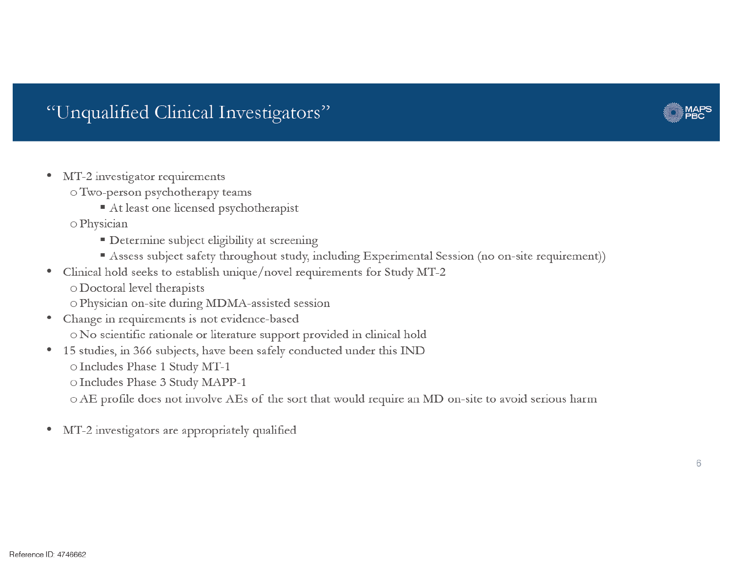## "Unqualified Clinical Investigators"

- MT-2 investigator requirements
	- o Two-person psychotherapy teams
		- At least one licensed psychotherapist
	- o Physician
		- Determine subject eligibility at screening
		- Assess subject safety throughout study, including Experimental Session (no on-site requirement))
- Clinical hold seeks to establish unique/novel requirements for Study MT-2 o Doctoral level therapists
	- o Physician on-site during MDMA-assisted session
- Change in requirements is not evidence-based o No scientific rationale or literature support provided in clinical hold
- 15 studies, in 366 subjects, have been safely conducted under this IND o Includes Phase 1 Study MT-1 O Includes Phase 3 Study MAPP-1
	- o AE profile does not involve AEs of the sort that would require an MD on-site to avoid serious harm
- MT-2 investigators are appropriately qualified

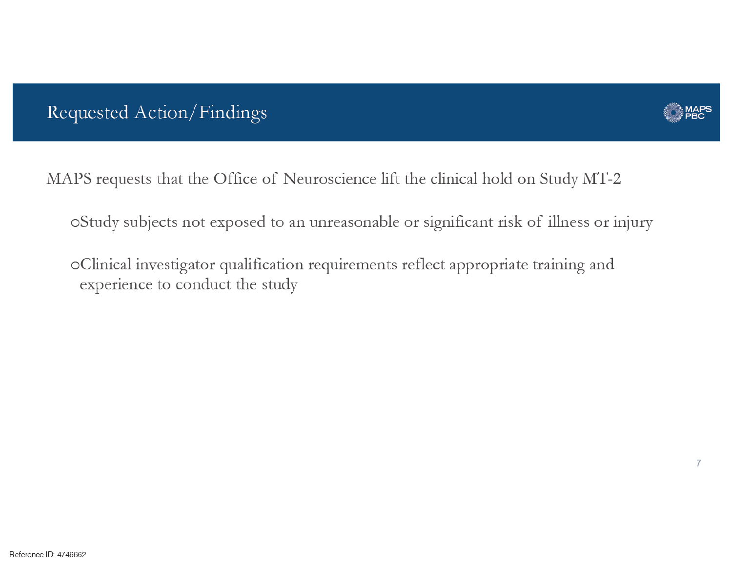## Requested Action/Findings



MAPS requests that the Office of Neuroscience lift the clinical hold on Study MT-2

oStudy subjects not exposed to an unreasonable or significant risk of illness or injury

oClinical investigator qualification requirements reflect appropriate training and experience to conduct the study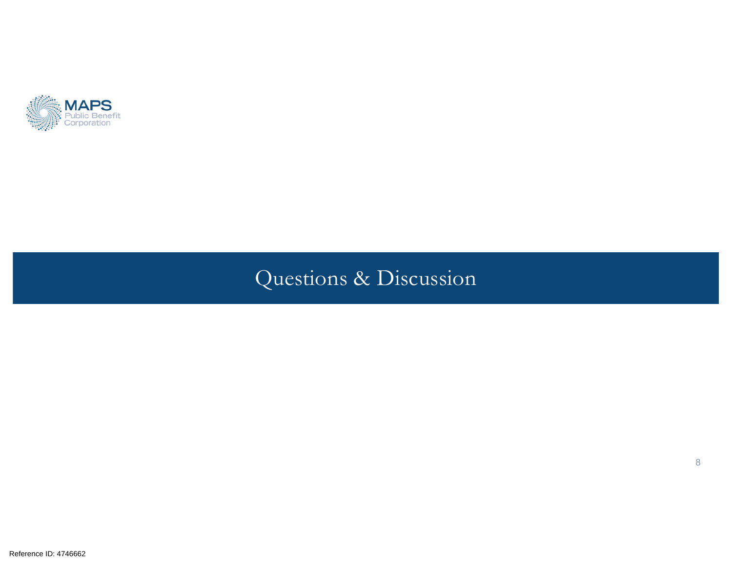

## Questions & Discussion